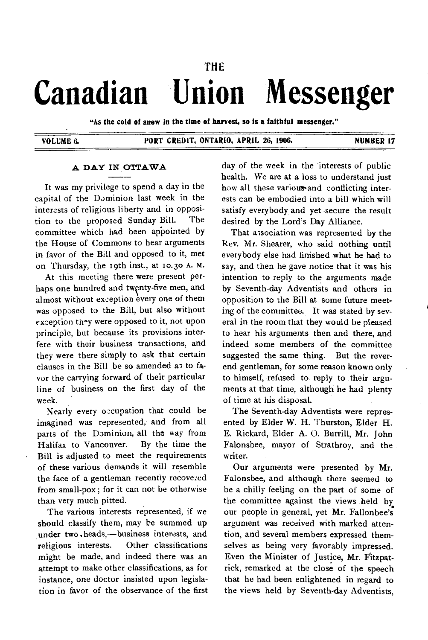# **THE Canadian Union Messenger**

**"As the cold of snow In the time of harvest, so is a faithful messenger."** 

# **VOLUME 6. PORT CREDIT, ONTARIO, APRIL 26, 1906. NUMBER 17**

# **A DAY IN OTTAWA**

It was my privilege to spend a day in the capital of the Dominion last week in the interests of religious liberty and in opposition to the proposed Sunday Bill. The committee which had been appointed by the House of Commons to hear arguments in favor of the Bill and opposed to it, met on Thursday, the i9th inst., at 10.3o A. M.

At this meeting there were present perhaps one hundred and twenty-five men, and almost without exception every one of them was opposed to the Bill, but also without exception thy were opposed to it, not upon principle, but because its provisions interfere with their business transactions, and they were there simply to ask that certain clauses in the Bill be so amended as to favor the carrying forward of their particular line of business on the first day of the week.

Nearly every occupation that could be imagined was represented, and from all parts of the Dominion, all the way from Halifax to Vancouver. By the time the Bill is adjusted to meet the requirements of these various demands it will resemble the face of a gentleman recently recovered from small-pox; for it can not be otherwise than very much pitted.

The various interests represented, if we should classify them, may be summed up under two.heads,—business interests, and religious interests. Other classifications might be made, and indeed there was an attempt to make other classifications, as for instance, one doctor insisted upon legislation in favor of the observance of the first day of the week in the interests of public health. We are at a loss to understand just how all these various-and conflicting interests can be embodied into a bill which will satisfy everybody and yet secure the result desired by the Lord's Day Alliance.

That association was represented by the Rev. Mr. Shearer, who said nothing until everybody else had finished what he had to say, and then he gave notice that it was his intention to reply to the arguments made by Seventh-day Adventists and others in opposition to the Bill at some future meeting of the committee. It was stated by several in the room that they would be pleased to hear his arguments then and there, and indeed some members of the committee suggested the same thing. But the reverend gentleman, for some reason known only to himself, refused to reply to their arguments at that time, although he had plenty of time at his disposal.

The Seventh-day Adventists were represented by Elder W. H. Thurston, Elder H. E. Rickard, Elder A. 0. Burrill, Mr. John Falonsbee, mayor of Strathroy, and the writer.

Our arguments were presented by Mr. Falonsbee, and although there seemed to be a chilly feeling on the part of some of the committee against the views held by our people in general, yet Mr. Fallonbee's argument was received with marked attention, and several members expressed themselves as being very favorably impressed. Even the Minister of Justice, Mr. Fitzpatrick, remarked at the close of the speech that he had been enlightened in regard to the views held by Seventh-day Adventists,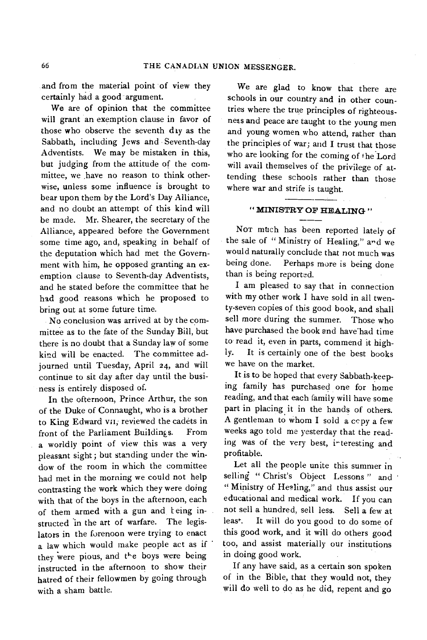and from the material point of view they certainly had a good argument.

We are of opinion that the committee will grant an exemption clause in favor of those who observe the seventh day as the Sabbath, including Jews and Seventh-day Adventists. We may be mistaken in this, but judging from the attitude of the committee, we have no reason to think otherwise, unless some influence is brought to bear upon them by the Lord's Day Alliance, and no doubt an attempt of this kind will be made. Mr. Shearer, the secretary of the Alliance, appeared before the Government some time ago, and, speaking in behalf of the deputation which had met the Government with him, he opposed granting an exemption clause to Seventh-day Adventists, and he stated before the committee that he had good reasons which he proposed to bring out at some future time.

No conclusion was arrived at by the committee as to the fate of the Sunday Bill, but there is no doubt that a Sunday law of some kind will be enacted. The committee adjourned until Tuesday, April 24, and will continue to sit day after day until the business is entirely disposed of.

In the ofternoon, Prince Arthur, the son of the Duke of Connaught, who is a brother to King Edward vii, reviewed the cadets in front of the Parliament Buildings. From a worldly point of view this was a very pleasant sight; but standing under the window of the room in which the committee had met in the morning we could not help contrasting the work which they were doing with that of the boys in the afternoon, each of them armed with a gun and teing instructed in the art of warfare. The legislators in the forenoon were trying to enact a law which would make people act as if they were pious, and the boys were being instructed in the afternoon to show their hatred of their fellowmen by going through with a sham battle.

We are glad to know that there are schools in our country and in other countries where the true principles of righteousness and peace are taught to the young men and young women who attend, rather than the principles of war; and I trust that those who are looking for the coming of the Lord will avail themselves of the privilege of attending these schools rather than those where war and strife is taught.

# **" MINISTRY OF HEALING "**

**NOT** mtich has been reported lately of the sale of "Ministry of Healing," and we would naturally conclude that not much was being done. Perhaps more is being done than is being reported.

I am pleased to say that in connection with my other work I have sold in all twenty-seven copies of this good book, and shall sell more during the summer. Those who have purchased the book and have had time to read it, even in parts, commend it highly. It is certainly one of the best books we have on the market.

It is to be hoped that every Sabbath-keeping family has purchased one for home reading, and that each family will have some part in placing it in the hands of others. A gentleman to whom I sold a copy a few weeks ago told me yesterday that the reading was of the very best, interesting and profitable.

Let all the people unite this summer in selling " Christ's Object Lessons " and "Ministry of He9ling," and thus assist our educational and medical work. If you can not sell a hundred, sell less. Sell a few at leas<sup>t</sup>. It will do you good to do some of this good work, and it will do others good too, and assist materially our institutions in doing good work.

If any have said, as a certain son spoken of in the Bible, that they would not, they will do well to do as he did, repent and go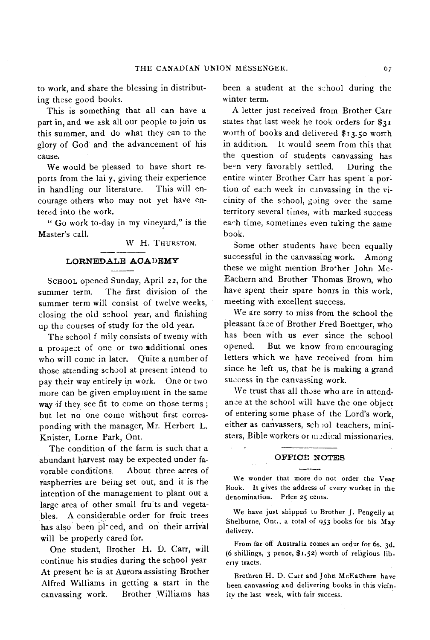to work, and share the blessing in distributing these good books.

This is something that all can have a part in, and we ask all our people to join us this summer, and do what they can to the glory of God and the advancement of his cause.

We would be pleased to have short reports from the lai y, giving their experience in handling our literature. This will encourage others who may not yet have entered into the work.

" Go work to-day in my vineyard," is the Master's call.

W H. THURSTON.

### **LORNEDALE ACADEMY**

ScHoot, opened Sunday, April 22, for the summer term. The first division of the summer term will consist of twelve weeks, closing the old school year, and finishing up the courses of study for the old year.

The school f mily consists of twenty with a prospect of one or two additional ones who will come in later. Ouite a number of those attending school at present intend to pay their way entirely in work. One or two more can be given employment in the same way if they see fit to come on those terms ; but let no one come without first corresponding with the manager, Mr. Herbert L. Knister, Lorne Park, Ont.

The condition of the farm is such that a abundant harvest may be expected under favorable conditions. About three acres of raspberries are being set out, and it is the intention of the management to plant out a large area of other small fru'ts and vegetables. A considerable order for fruit trees has also been pl- ced, and on their arrival will be properly cared for.

One student, Brother H. D. Carr, will continue his studies during the school year At present he is at Aurora assisting Brother Alfred Williams in getting a start in the canvassing work. Brother Williams has been a student at the school during the winter term.

A letter just received from Brother Carr states that last week he took orders for \$31 worth of books and delivered \$13.50 worth in addition. It would seem from this that the question of students canvassing has be-n very favorably settled. During the entire winter Brother Carr has spent a portion of each week in canvassing in the vicinity of the school, going over the same territory several times, with marked success each time, sometimes even taking the same book.

Some other students have been equally successful in the canvassing work. Among these we might mention Brother John Mc-Eachern and Brother Thomas Brown, who have spent their spare hours in this work, meeting with excellent success.

We are sorry to miss from the school the pleasant face of Brother Fred Boettger, who has been with us ever since the school opened. But we know from encouraging letters which we have received from him since he left us, that he is making a grand success in the canvassing work.

We trust that all those who are in attendance at the school will have the one object of entering some phase of the Lord's work, either as canvassers, sch ol teachers, ministers, Bible workers or medical missionaries.

# **OFFICE NOTES**

 $\mathcal{L}$ 

We wonder that more do not order the Year Book. It gives the address of every worker in the denomination. Price 25 cents.

We have just shipped to Brother J. Pengelly at Shelburne, Ont., a total of 953 books for his May delivery.

From far off Australia comes an order for 6s. 3d. (6 shillings, 3 pence, \$1.52) worth of religious liberty tracts.

Brethren H. D. Cair and John McEachern have been canvassing and delivering books in this vicin. ity the last week, with fair success.